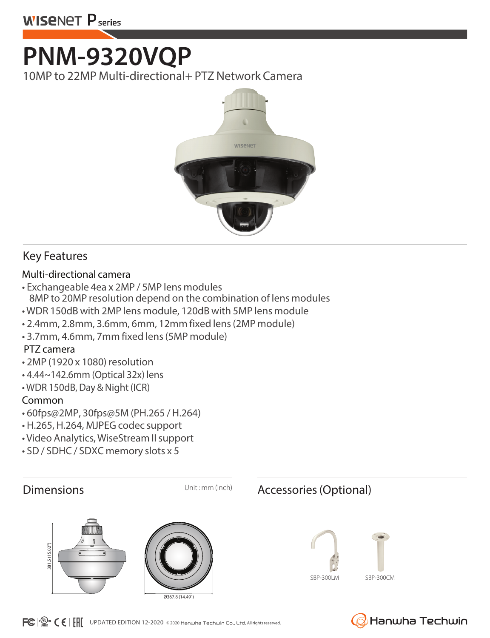# **PNM-9320VQP**

10MP to 22MP Multi-directional+ PTZ Network Camera



#### Key Features

#### Multi-directional camera

- Exchangeable 4ea x 2MP / 5MP lens modules 8MP to 20MP resolution depend on the combination of lens modules
- WDR 150dB with 2MP lens module, 120dB with 5MP lens module
- 2.4mm, 2.8mm, 3.6mm, 6mm, 12mm fixed lens (2MP module)
- 3.7mm, 4.6mm, 7mm fixed lens (5MP module)

#### PTZ camera

- 2MP (1920 x 1080) resolution
- 4.44~142.6mm (Optical 32x) lens
- WDR 150dB, Day & Night (ICR)

#### Common

- 60fps@2MP, 30fps@5M (PH.265 / H.264)
- H.265, H.264, MJPEG codec support
- Video Analytics, WiseStream II support
- SD / SDHC / SDXC memory slots x 5



### Dimensions Unit: mm (inch) Accessories (Optional)





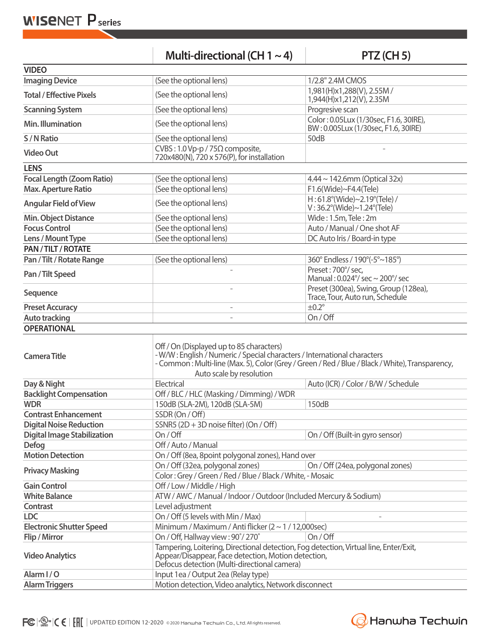**WISENET P** series

|                                    | Multi-directional (CH $1 \sim 4$ )                                                                                                                                                                                                                  | PTZ (CH 5)                                                                    |  |  |
|------------------------------------|-----------------------------------------------------------------------------------------------------------------------------------------------------------------------------------------------------------------------------------------------------|-------------------------------------------------------------------------------|--|--|
| <b>VIDEO</b>                       |                                                                                                                                                                                                                                                     |                                                                               |  |  |
| <b>Imaging Device</b>              | (See the optional lens)                                                                                                                                                                                                                             | 1/2.8" 2.4M CMOS                                                              |  |  |
| <b>Total / Effective Pixels</b>    | (See the optional lens)                                                                                                                                                                                                                             | 1,981(H)x1,288(V), 2.55M /<br>1,944(H)x1,212(V), 2.35M                        |  |  |
| <b>Scanning System</b>             | (See the optional lens)                                                                                                                                                                                                                             | Progresive scan                                                               |  |  |
| Min. Illumination                  | (See the optional lens)                                                                                                                                                                                                                             | Color: 0.05Lux (1/30sec, F1.6, 30IRE),<br>BW: 0.005Lux (1/30sec, F1.6, 30IRE) |  |  |
| S / N Ratio                        | (See the optional lens)                                                                                                                                                                                                                             | 50dB                                                                          |  |  |
| <b>Video Out</b>                   | CVBS: 1.0 Vp-p / 75 $\Omega$ composite,<br>720x480(N), 720 x 576(P), for installation                                                                                                                                                               |                                                                               |  |  |
| <b>LENS</b>                        |                                                                                                                                                                                                                                                     |                                                                               |  |  |
| <b>Focal Length (Zoom Ratio)</b>   | (See the optional lens)                                                                                                                                                                                                                             | $4.44 \sim 142.6$ mm (Optical 32x)                                            |  |  |
| <b>Max. Aperture Ratio</b>         | (See the optional lens)                                                                                                                                                                                                                             | F1.6(Wide)~F4.4(Tele)                                                         |  |  |
| <b>Angular Field of View</b>       | (See the optional lens)                                                                                                                                                                                                                             | $H:61.8^{\circ}$ (Wide)~2.19°(Tele) /<br>$V: 36.2^{\circ}$ (Wide)~1.24°(Tele) |  |  |
| <b>Min. Object Distance</b>        | (See the optional lens)                                                                                                                                                                                                                             | Wide: 1.5m, Tele: 2m                                                          |  |  |
| <b>Focus Control</b>               | (See the optional lens)                                                                                                                                                                                                                             | Auto / Manual / One shot AF                                                   |  |  |
| Lens / Mount Type                  | (See the optional lens)                                                                                                                                                                                                                             | DC Auto Iris / Board-in type                                                  |  |  |
| PAN/TILT/ROTATE                    |                                                                                                                                                                                                                                                     |                                                                               |  |  |
| Pan / Tilt / Rotate Range          | (See the optional lens)                                                                                                                                                                                                                             | 360° Endless / 190°(-5°~185°)                                                 |  |  |
| Pan / Tilt Speed                   |                                                                                                                                                                                                                                                     | Preset: 700°/ sec,<br>Manual: $0.024^{\circ}$ / sec ~ 200 $^{\circ}$ / sec    |  |  |
| Sequence                           |                                                                                                                                                                                                                                                     | Preset (300ea), Swing, Group (128ea),<br>Trace, Tour, Auto run, Schedule      |  |  |
| <b>Preset Accuracy</b>             |                                                                                                                                                                                                                                                     | $\pm 0.2^\circ$                                                               |  |  |
| <b>Auto tracking</b>               | L,                                                                                                                                                                                                                                                  | On/Off                                                                        |  |  |
| <b>OPERATIONAL</b>                 |                                                                                                                                                                                                                                                     |                                                                               |  |  |
| <b>Camera Title</b>                | Off / On (Displayed up to 85 characters)<br>- W/W: English / Numeric / Special characters / International characters<br>- Common: Multi-line (Max. 5), Color (Grey / Green / Red / Blue / Black / White), Transparency,<br>Auto scale by resolution |                                                                               |  |  |
| Day & Night                        | Electrical                                                                                                                                                                                                                                          | Auto (ICR) / Color / B/W / Schedule                                           |  |  |
| <b>Backlight Compensation</b>      | Off / BLC / HLC (Masking / Dimming) / WDR                                                                                                                                                                                                           |                                                                               |  |  |
| <b>WDR</b>                         | 150dB (SLA-2M), 120dB (SLA-5M)                                                                                                                                                                                                                      | 150dB                                                                         |  |  |
| <b>Contrast Enhancement</b>        | SSDR (On / Off)                                                                                                                                                                                                                                     |                                                                               |  |  |
| <b>Digital Noise Reduction</b>     | SSNR5 (2D + 3D noise filter) (On / Off)                                                                                                                                                                                                             |                                                                               |  |  |
| <b>Digital Image Stabilization</b> | On/Off                                                                                                                                                                                                                                              | On / Off (Built-in gyro sensor)                                               |  |  |
| <b>Defog</b>                       | Off / Auto / Manual                                                                                                                                                                                                                                 |                                                                               |  |  |
| <b>Motion Detection</b>            | On / Off (8ea, 8point polygonal zones), Hand over                                                                                                                                                                                                   |                                                                               |  |  |
| <b>Privacy Masking</b>             | On / Off (32ea, polygonal zones)<br>Color: Grey / Green / Red / Blue / Black / White, - Mosaic                                                                                                                                                      | On / Off (24ea, polygonal zones)                                              |  |  |
| <b>Gain Control</b>                | Off / Low / Middle / High                                                                                                                                                                                                                           |                                                                               |  |  |
| <b>White Balance</b>               | ATW / AWC / Manual / Indoor / Outdoor (Included Mercury & Sodium)                                                                                                                                                                                   |                                                                               |  |  |
| Contrast                           | Level adjustment                                                                                                                                                                                                                                    |                                                                               |  |  |
| <b>LDC</b>                         | On / Off (5 levels with Min / Max)                                                                                                                                                                                                                  |                                                                               |  |  |
| <b>Electronic Shutter Speed</b>    | Minimum / Maximum / Anti flicker $(2 \sim 1 / 12,000$ sec)                                                                                                                                                                                          |                                                                               |  |  |
| Flip / Mirror                      | On / Off, Hallway view: 90°/270°                                                                                                                                                                                                                    | On / Off                                                                      |  |  |
| <b>Video Analytics</b>             | Tampering, Loitering, Directional detection, Fog detection, Virtual line, Enter/Exit,<br>Appear/Disappear, Face detection, Motion detection,<br>Defocus detection (Multi-directional camera)                                                        |                                                                               |  |  |
| Alarm I/O                          | Input 1ea / Output 2ea (Relay type)                                                                                                                                                                                                                 |                                                                               |  |  |
| <b>Alarm Triggers</b>              |                                                                                                                                                                                                                                                     | Motion detection, Video analytics, Network disconnect                         |  |  |

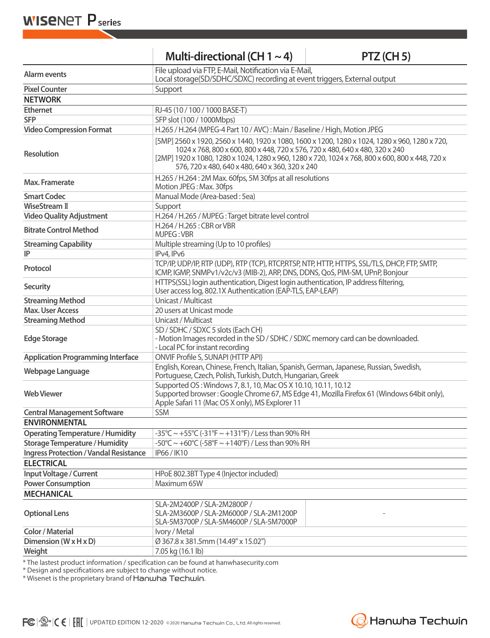**WISENET P** series

| Multi-directional (CH $1 \sim 4$ ) |  |
|------------------------------------|--|
|------------------------------------|--|

**Multi-directional (CH 1 ~ 4) PTZ (CH 5)**

| Alarm events                                  | File upload via FTP, E-Mail, Notification via E-Mail,                                                                                                                                                                                                                                                                                |  |  |  |
|-----------------------------------------------|--------------------------------------------------------------------------------------------------------------------------------------------------------------------------------------------------------------------------------------------------------------------------------------------------------------------------------------|--|--|--|
|                                               | Local storage(SD/SDHC/SDXC) recording at event triggers, External output                                                                                                                                                                                                                                                             |  |  |  |
| <b>Pixel Counter</b>                          | Support                                                                                                                                                                                                                                                                                                                              |  |  |  |
| <b>NETWORK</b>                                |                                                                                                                                                                                                                                                                                                                                      |  |  |  |
| <b>Ethernet</b>                               | RJ-45 (10 / 100 / 1000 BASE-T)                                                                                                                                                                                                                                                                                                       |  |  |  |
| <b>SFP</b>                                    | SFP slot (100 / 1000Mbps)                                                                                                                                                                                                                                                                                                            |  |  |  |
| <b>Video Compression Format</b>               | H.265 / H.264 (MPEG-4 Part 10 / AVC): Main / Baseline / High, Motion JPEG                                                                                                                                                                                                                                                            |  |  |  |
| <b>Resolution</b>                             | [5MP] 2560 x 1920, 2560 x 1440, 1920 x 1080, 1600 x 1200, 1280 x 1024, 1280 x 960, 1280 x 720,<br>1024 x 768, 800 x 600, 800 x 448, 720 x 576, 720 x 480, 640 x 480, 320 x 240<br>[2MP] 1920 x 1080, 1280 x 1024, 1280 x 960, 1280 x 720, 1024 x 768, 800 x 600, 800 x 448, 720 x<br>576, 720 x 480, 640 x 480, 640 x 360, 320 x 240 |  |  |  |
| Max. Framerate                                | H.265 / H.264 : 2M Max. 60fps, 5M 30fps at all resolutions<br>Motion JPEG: Max. 30fps                                                                                                                                                                                                                                                |  |  |  |
| <b>Smart Codec</b>                            | Manual Mode (Area-based: 5ea)                                                                                                                                                                                                                                                                                                        |  |  |  |
| <b>WiseStream II</b>                          | Support                                                                                                                                                                                                                                                                                                                              |  |  |  |
| <b>Video Quality Adjustment</b>               | H.264 / H.265 / MJPEG: Target bitrate level control                                                                                                                                                                                                                                                                                  |  |  |  |
| <b>Bitrate Control Method</b>                 | H.264 / H.265 : CBR or VBR<br>MJPEG: VBR                                                                                                                                                                                                                                                                                             |  |  |  |
| <b>Streaming Capability</b>                   | Multiple streaming (Up to 10 profiles)                                                                                                                                                                                                                                                                                               |  |  |  |
| IP                                            | IPv4, IPv6                                                                                                                                                                                                                                                                                                                           |  |  |  |
| Protocol                                      | TCP/IP, UDP/IP, RTP (UDP), RTP (TCP), RTCP, RTCP, NTP, HTTP, HTTPS, SSL/TLS, DHCP, FTP, SMTP,<br>ICMP, IGMP, SNMPv1/v2c/v3 (MIB-2), ARP, DNS, DDNS, QoS, PIM-SM, UPnP, Bonjour                                                                                                                                                       |  |  |  |
| <b>Security</b>                               | HTTPS(SSL) login authentication, Digest login authentication, IP address filtering,<br>User access log, 802.1X Authentication (EAP-TLS, EAP-LEAP)                                                                                                                                                                                    |  |  |  |
| <b>Streaming Method</b>                       | Unicast / Multicast                                                                                                                                                                                                                                                                                                                  |  |  |  |
| <b>Max. User Access</b>                       | 20 users at Unicast mode                                                                                                                                                                                                                                                                                                             |  |  |  |
| <b>Streaming Method</b>                       | Unicast / Multicast                                                                                                                                                                                                                                                                                                                  |  |  |  |
| <b>Edge Storage</b>                           | SD / SDHC / SDXC 5 slots (Each CH)<br>- Motion Images recorded in the SD / SDHC / SDXC memory card can be downloaded.<br>- Local PC for instant recording                                                                                                                                                                            |  |  |  |
| <b>Application Programming Interface</b>      | <b>ONVIF Profile S, SUNAPI (HTTP API)</b>                                                                                                                                                                                                                                                                                            |  |  |  |
| Webpage Language                              | English, Korean, Chinese, French, Italian, Spanish, German, Japanese, Russian, Swedish,<br>Portuguese, Czech, Polish, Turkish, Dutch, Hungarian, Greek                                                                                                                                                                               |  |  |  |
| <b>Web Viewer</b>                             | Supported OS: Windows 7, 8.1, 10, Mac OS X 10.10, 10.11, 10.12<br>Supported browser: Google Chrome 67, MS Edge 41, Mozilla Firefox 61 (Windows 64bit only),<br>Apple Safari 11 (Mac OS X only), MS Explorer 11                                                                                                                       |  |  |  |
| <b>Central Management Software</b>            | SSM                                                                                                                                                                                                                                                                                                                                  |  |  |  |
| <b>FNVIRONMENTAL</b>                          |                                                                                                                                                                                                                                                                                                                                      |  |  |  |
| <b>Operating Temperature / Humidity</b>       | -35°C ~ +55°C (-31°F ~ +131°F) / Less than 90% RH                                                                                                                                                                                                                                                                                    |  |  |  |
| <b>Storage Temperature / Humidity</b>         | -50°C ~ +60°C (-58°F ~ +140°F) / Less than 90% RH                                                                                                                                                                                                                                                                                    |  |  |  |
| <b>Ingress Protection / Vandal Resistance</b> | IP66/IK10                                                                                                                                                                                                                                                                                                                            |  |  |  |
| <b>ELECTRICAL</b>                             |                                                                                                                                                                                                                                                                                                                                      |  |  |  |
| Input Voltage / Current                       | HPoE 802.3BT Type 4 (Injector included)                                                                                                                                                                                                                                                                                              |  |  |  |
| <b>Power Consumption</b>                      | Maximum 65W                                                                                                                                                                                                                                                                                                                          |  |  |  |
| <b>MECHANICAL</b>                             |                                                                                                                                                                                                                                                                                                                                      |  |  |  |
| <b>Optional Lens</b>                          | SLA-2M2400P / SLA-2M2800P /<br>SLA-2M3600P / SLA-2M6000P / SLA-2M1200P<br>SLA-5M3700P / SLA-5M4600P / SLA-5M7000P                                                                                                                                                                                                                    |  |  |  |
| <b>Color / Material</b>                       | Ivory / Metal                                                                                                                                                                                                                                                                                                                        |  |  |  |
| Dimension $(W \times H \times D)$<br>Weight   | Ø 367.8 x 381.5mm (14.49" x 15.02")<br>7.05 kg (16.1 lb)                                                                                                                                                                                                                                                                             |  |  |  |
|                                               |                                                                                                                                                                                                                                                                                                                                      |  |  |  |

\* The lastest product information / specification can be found at hanwhasecurity.com

\* Design and specifications are subject to change without notice.

\* Wisenet is the proprietary brand of Hanwha Techwin.